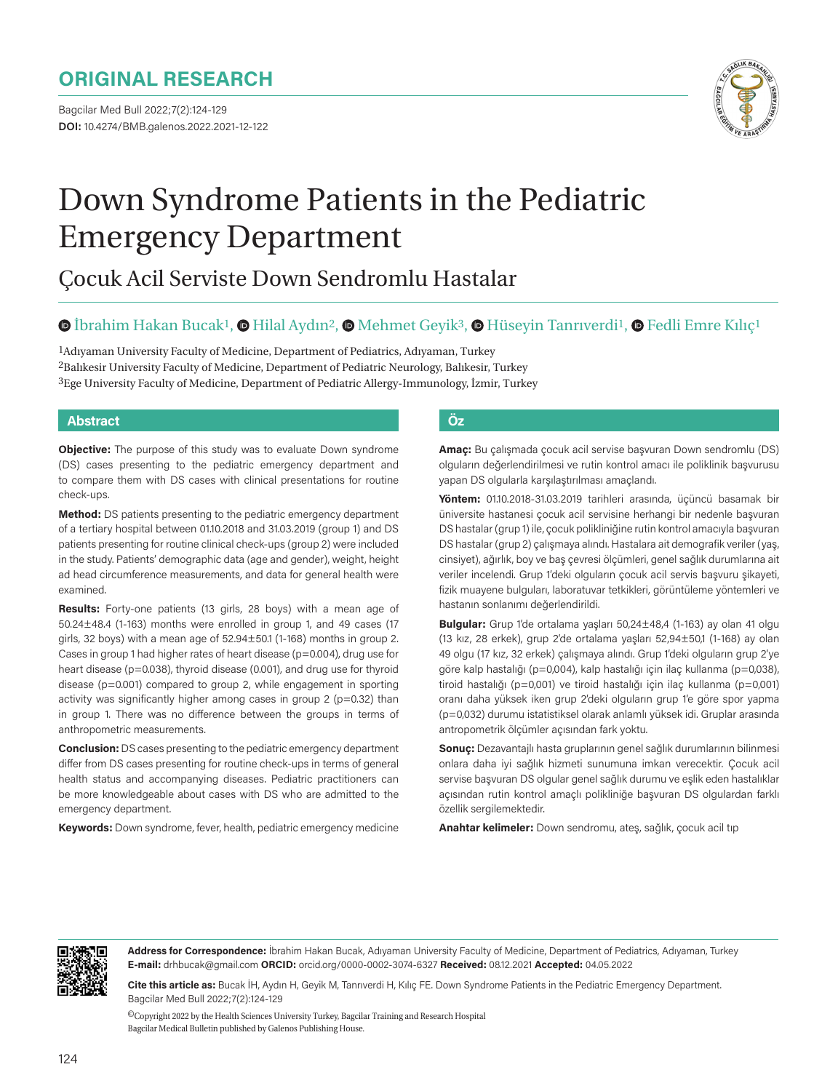# **ORIGINAL RESEARCH**

Bagcilar Med Bull 2022;7(2):124-129 **DOI:** 10.4274/BMB.galenos.2022.2021-12-122



# Down Syndrome Patients in the Pediatric Emergency Department

# Çocuk Acil Serviste Down Sendromlu Hastalar

#### $\bullet$ İbrahim Hakan Bucak<sup>1</sup>,  $\bullet$  Hilal Aydın<sup>2</sup>,  $\bullet$  Mehmet Geyik<sup>3</sup>,  $\bullet$  Hüseyin Tanrıverdi<sup>1</sup>,  $\bullet$  Fedli Emre Kılıç<sup>1</sup>

1Adıyaman University Faculty of Medicine, Department of Pediatrics, Adıyaman, Turkey <sup>2</sup>Balıkesir University Faculty of Medicine, Department of Pediatric Neurology, Balıkesir, Turkey 3Ege University Faculty of Medicine, Department of Pediatric Allergy-Immunology, İzmir, Turkey

#### **Abstract Öz**

**Objective:** The purpose of this study was to evaluate Down syndrome (DS) cases presenting to the pediatric emergency department and to compare them with DS cases with clinical presentations for routine check-ups.

**Method:** DS patients presenting to the pediatric emergency department of a tertiary hospital between 01.10.2018 and 31.03.2019 (group 1) and DS patients presenting for routine clinical check-ups (group 2) were included in the study. Patients' demographic data (age and gender), weight, height ad head circumference measurements, and data for general health were examined.

**Results:** Forty-one patients (13 girls, 28 boys) with a mean age of 50.24±48.4 (1-163) months were enrolled in group 1, and 49 cases (17 girls, 32 boys) with a mean age of  $52.94 \pm 50.1$  (1-168) months in group 2. Cases in group 1 had higher rates of heart disease (p=0.004), drug use for heart disease (p=0.038), thyroid disease (0.001), and drug use for thyroid disease (p=0.001) compared to group 2, while engagement in sporting activity was significantly higher among cases in group  $2$  ( $p=0.32$ ) than in group 1. There was no difference between the groups in terms of anthropometric measurements.

**Conclusion:** DS cases presenting to the pediatric emergency department differ from DS cases presenting for routine check-ups in terms of general health status and accompanying diseases. Pediatric practitioners can be more knowledgeable about cases with DS who are admitted to the emergency department.

**Keywords:** Down syndrome, fever, health, pediatric emergency medicine

**Amaç:** Bu çalışmada çocuk acil servise başvuran Down sendromlu (DS) olguların değerlendirilmesi ve rutin kontrol amacı ile poliklinik başvurusu yapan DS olgularla karşılaştırılması amaçlandı.

**Yöntem:** 01.10.2018-31.03.2019 tarihleri arasında, üçüncü basamak bir üniversite hastanesi çocuk acil servisine herhangi bir nedenle başvuran DS hastalar (grup 1) ile, çocuk polikliniğine rutin kontrol amacıyla başvuran DS hastalar (grup 2) çalışmaya alındı. Hastalara ait demografik veriler (yaş, cinsiyet), ağırlık, boy ve baş çevresi ölçümleri, genel sağlık durumlarına ait veriler incelendi. Grup 1'deki olguların çocuk acil servis başvuru şikayeti, fizik muayene bulguları, laboratuvar tetkikleri, görüntüleme yöntemleri ve hastanın sonlanımı değerlendirildi.

**Bulgular:** Grup 1'de ortalama yaşları 50,24±48,4 (1-163) ay olan 41 olgu (13 kız, 28 erkek), grup 2'de ortalama yaşları 52,94±50,1 (1-168) ay olan 49 olgu (17 kız, 32 erkek) çalışmaya alındı. Grup 1'deki olguların grup 2'ye göre kalp hastalığı (p=0,004), kalp hastalığı için ilaç kullanma (p=0,038), tiroid hastalığı (p=0,001) ve tiroid hastalığı için ilaç kullanma (p=0,001) oranı daha yüksek iken grup 2'deki olguların grup 1'e göre spor yapma (p=0,032) durumu istatistiksel olarak anlamlı yüksek idi. Gruplar arasında antropometrik ölçümler açısından fark yoktu.

**Sonuç:** Dezavantajlı hasta gruplarının genel sağlık durumlarının bilinmesi onlara daha iyi sağlık hizmeti sunumuna imkan verecektir. Çocuk acil servise başvuran DS olgular genel sağlık durumu ve eşlik eden hastalıklar açısından rutin kontrol amaçlı polikliniğe başvuran DS olgulardan farklı özellik sergilemektedir.

**Anahtar kelimeler:** Down sendromu, ateş, sağlık, çocuk acil tıp



**Address for Correspondence:** İbrahim Hakan Bucak, Adıyaman University Faculty of Medicine, Department of Pediatrics, Adıyaman, Turkey **E-mail:** drhbucak@gmail.com **ORCID:** orcid.org/0000-0002-3074-6327 **Received:** 08.12.2021 **Accepted:** 04.05.2022

**Cite this article as:** Bucak İH, Aydın H, Geyik M, Tanrıverdi H, Kılıç FE. Down Syndrome Patients in the Pediatric Emergency Department. Bagcilar Med Bull 2022;7(2):124-129

 ${}^{{\sf{O}}\!}$  Copyright 2022 by the Health Sciences University Turkey, Bagcilar Training and Research Hospital Bagcilar Medical Bulletin published by Galenos Publishing House.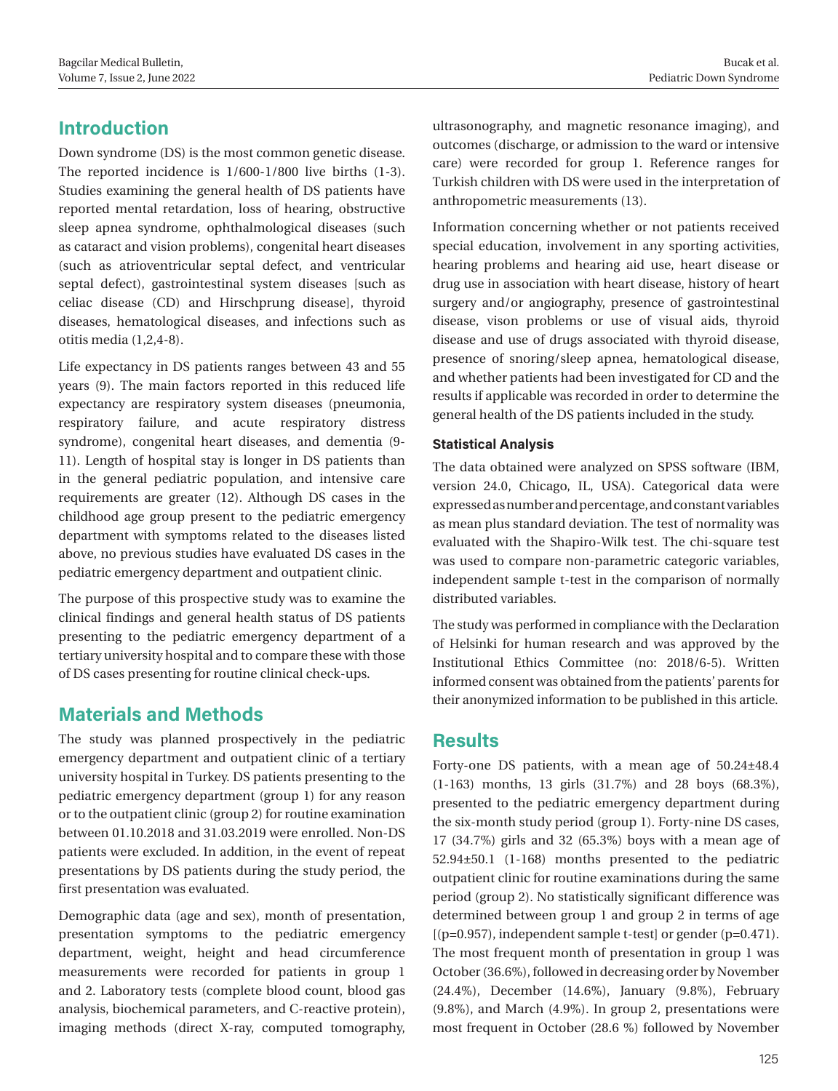#### Bucak et al. Pediatric Down Syndrome

# **Introduction**

Down syndrome (DS) is the most common genetic disease. The reported incidence is 1/600-1/800 live births (1-3). Studies examining the general health of DS patients have reported mental retardation, loss of hearing, obstructive sleep apnea syndrome, ophthalmological diseases (such as cataract and vision problems), congenital heart diseases (such as atrioventricular septal defect, and ventricular septal defect), gastrointestinal system diseases [such as celiac disease (CD) and Hirschprung disease], thyroid diseases, hematological diseases, and infections such as otitis media (1,2,4-8).

Life expectancy in DS patients ranges between 43 and 55 years (9). The main factors reported in this reduced life expectancy are respiratory system diseases (pneumonia, respiratory failure, and acute respiratory distress syndrome), congenital heart diseases, and dementia (9- 11). Length of hospital stay is longer in DS patients than in the general pediatric population, and intensive care requirements are greater (12). Although DS cases in the childhood age group present to the pediatric emergency department with symptoms related to the diseases listed above, no previous studies have evaluated DS cases in the pediatric emergency department and outpatient clinic.

The purpose of this prospective study was to examine the clinical findings and general health status of DS patients presenting to the pediatric emergency department of a tertiary university hospital and to compare these with those of DS cases presenting for routine clinical check-ups.

## **Materials and Methods**

The study was planned prospectively in the pediatric emergency department and outpatient clinic of a tertiary university hospital in Turkey. DS patients presenting to the pediatric emergency department (group 1) for any reason or to the outpatient clinic (group 2) for routine examination between 01.10.2018 and 31.03.2019 were enrolled. Non-DS patients were excluded. In addition, in the event of repeat presentations by DS patients during the study period, the first presentation was evaluated.

Demographic data (age and sex), month of presentation, presentation symptoms to the pediatric emergency department, weight, height and head circumference measurements were recorded for patients in group 1 and 2. Laboratory tests (complete blood count, blood gas analysis, biochemical parameters, and C-reactive protein), imaging methods (direct X-ray, computed tomography,

ultrasonography, and magnetic resonance imaging), and outcomes (discharge, or admission to the ward or intensive care) were recorded for group 1. Reference ranges for Turkish children with DS were used in the interpretation of anthropometric measurements (13).

Information concerning whether or not patients received special education, involvement in any sporting activities, hearing problems and hearing aid use, heart disease or drug use in association with heart disease, history of heart surgery and/or angiography, presence of gastrointestinal disease, vison problems or use of visual aids, thyroid disease and use of drugs associated with thyroid disease, presence of snoring/sleep apnea, hematological disease, and whether patients had been investigated for CD and the results if applicable was recorded in order to determine the general health of the DS patients included in the study.

#### **Statistical Analysis**

The data obtained were analyzed on SPSS software (IBM, version 24.0, Chicago, IL, USA). Categorical data were expressed as number and percentage, and constant variables as mean plus standard deviation. The test of normality was evaluated with the Shapiro-Wilk test. The chi-square test was used to compare non-parametric categoric variables, independent sample t-test in the comparison of normally distributed variables.

The study was performed in compliance with the Declaration of Helsinki for human research and was approved by the Institutional Ethics Committee (no: 2018/6-5). Written informed consent was obtained from the patients' parents for their anonymized information to be published in this article.

#### **Results**

Forty-one DS patients, with a mean age of 50.24±48.4 (1-163) months, 13 girls (31.7%) and 28 boys (68.3%), presented to the pediatric emergency department during the six-month study period (group 1). Forty-nine DS cases, 17 (34.7%) girls and 32 (65.3%) boys with a mean age of 52.94±50.1 (1-168) months presented to the pediatric outpatient clinic for routine examinations during the same period (group 2). No statistically significant difference was determined between group 1 and group 2 in terms of age  $[(p=0.957),$  independent sample t-test or gender  $(p=0.471)$ . The most frequent month of presentation in group 1 was October (36.6%), followed in decreasing order by November (24.4%), December (14.6%), January (9.8%), February (9.8%), and March (4.9%). In group 2, presentations were most frequent in October (28.6 %) followed by November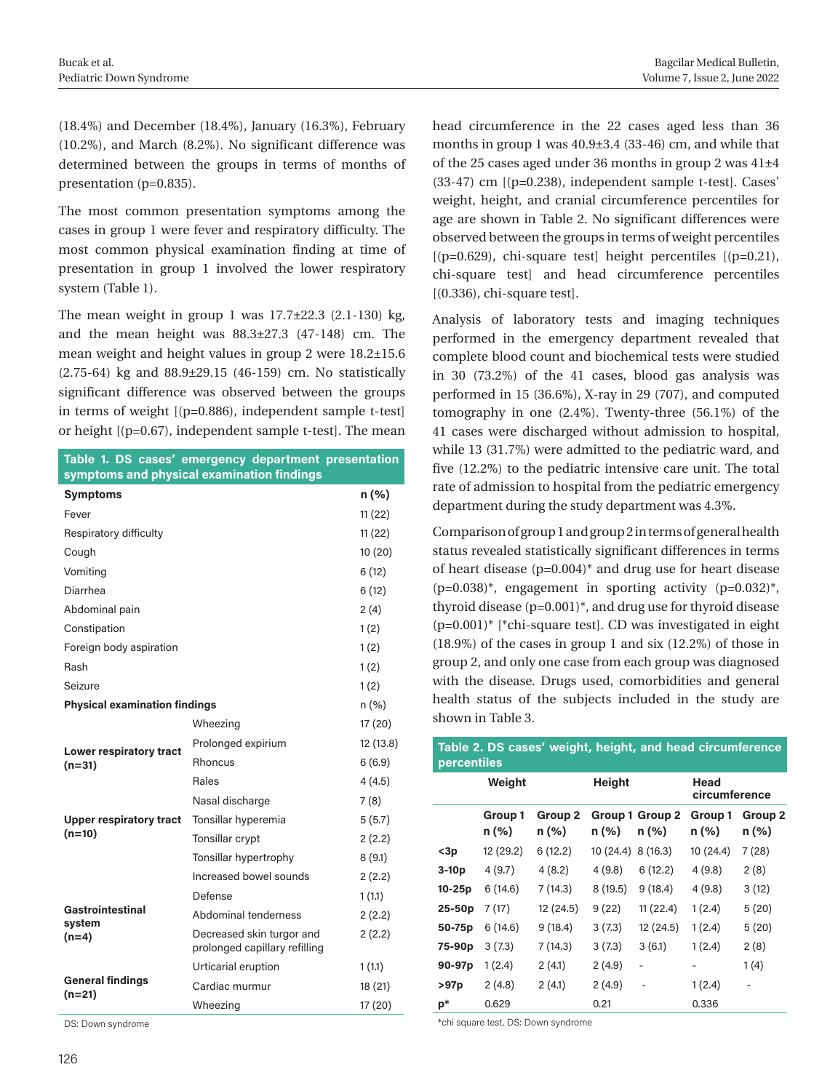(18.4%) and December (18.4%), January (16.3%), February (10.2%), and March (8.2%). No significant difference was determined between the groups in terms of months of presentation (p=0.835).

The most common presentation symptoms among the cases in group 1 were fever and respiratory difficulty. The most common physical examination finding at time of presentation in group 1 involved the lower respiratory system (Table 1).

The mean weight in group 1 was  $17.7\pm22.3$  (2.1-130) kg, and the mean height was 88.3±27.3 (47-148) cm. The mean weight and height values in group 2 were 18.2±15.6 (2.75-64) kg and 88.9±29.15 (46-159) cm. No statistically significant difference was observed between the groups in terms of weight [(p=0.886), independent sample t-test] or height [(p=0.67), independent sample t-test]. The mean

|                                            | Table 1. DS cases' emergency department presentation<br>symptoms and physical examination findings |           |  |  |
|--------------------------------------------|----------------------------------------------------------------------------------------------------|-----------|--|--|
| <b>Symptoms</b>                            |                                                                                                    | n(%)      |  |  |
| Fever                                      |                                                                                                    | 11(22)    |  |  |
| Respiratory difficulty                     |                                                                                                    | 11(22)    |  |  |
| Cough                                      |                                                                                                    | 10(20)    |  |  |
| Vomiting                                   |                                                                                                    | 6(12)     |  |  |
| Diarrhea                                   |                                                                                                    | 6(12)     |  |  |
| Abdominal pain                             |                                                                                                    | 2(4)      |  |  |
| Constipation                               |                                                                                                    | 1(2)      |  |  |
| Foreign body aspiration                    | 1(2)                                                                                               |           |  |  |
| Rash                                       |                                                                                                    | 1(2)      |  |  |
| Seizure                                    |                                                                                                    |           |  |  |
| <b>Physical examination findings</b>       | n (%)                                                                                              |           |  |  |
|                                            | Wheezing                                                                                           | 17 (20)   |  |  |
| Lower respiratory tract<br>$(n=31)$        | Prolonged expirium                                                                                 | 12 (13.8) |  |  |
|                                            | <b>Rhoncus</b>                                                                                     | 6(6.9)    |  |  |
|                                            | Rales                                                                                              | 4(4.5)    |  |  |
|                                            | Nasal discharge                                                                                    | 7(8)      |  |  |
| <b>Upper respiratory tract</b><br>$(n=10)$ | Tonsillar hyperemia                                                                                | 5(5.7)    |  |  |
|                                            | Tonsillar crypt                                                                                    | 2(2.2)    |  |  |
|                                            | Tonsillar hypertrophy                                                                              | 8(9.1)    |  |  |
|                                            | Increased bowel sounds                                                                             | 2(2.2)    |  |  |
|                                            | Defense                                                                                            | 1(1.1)    |  |  |
| Gastrointestinal<br>system                 | Abdominal tenderness                                                                               | 2(2.2)    |  |  |
| $(n=4)$                                    | Decreased skin turgor and<br>prolonged capillary refilling                                         | 2(2.2)    |  |  |
| <b>General findings</b><br>$(n=21)$        | Urticarial eruption                                                                                | 1(1.1)    |  |  |
|                                            | Cardiac murmur                                                                                     | 18 (21)   |  |  |
|                                            | Wheezing                                                                                           | 17 (20)   |  |  |

DS: Down syndrome

head circumference in the 22 cases aged less than 36 months in group 1 was 40.9±3.4 (33-46) cm, and while that of the 25 cases aged under 36 months in group 2 was 41±4 (33-47) cm [(p=0.238), independent sample t-test]. Cases' weight, height, and cranial circumference percentiles for age are shown in Table 2. No significant differences were observed between the groups in terms of weight percentiles  $[(p=0.629), chi-square test] height percentiles [p=0.21],$ chi-square test] and head circumference percentiles [(0.336), chi-square test].

Analysis of laboratory tests and imaging techniques performed in the emergency department revealed that complete blood count and biochemical tests were studied in 30 (73.2%) of the 41 cases, blood gas analysis was performed in 15 (36.6%), X-ray in 29 (707), and computed tomography in one (2.4%). Twenty-three (56.1%) of the 41 cases were discharged without admission to hospital, while 13 (31.7%) were admitted to the pediatric ward, and five (12.2%) to the pediatric intensive care unit. The total rate of admission to hospital from the pediatric emergency department during the study department was 4.3%.

Comparison of group 1 and group 2 in terms of general health status revealed statistically significant differences in terms of heart disease  $(p=0.004)^*$  and drug use for heart disease  $(p=0.038)^*$ , engagement in sporting activity  $(p=0.032)^*$ , thyroid disease (p=0.001)\*, and drug use for thyroid disease  $(p=0.001)^*$  [\*chi-square test]. CD was investigated in eight (18.9%) of the cases in group 1 and six (12.2%) of those in group 2, and only one case from each group was diagnosed with the disease. Drugs used, comorbidities and general health status of the subjects included in the study are shown in Table 3.

| Table 2. DS cases' weight, height, and head circumference<br>percentiles |                  |                  |           |                          |                     |                       |  |  |
|--------------------------------------------------------------------------|------------------|------------------|-----------|--------------------------|---------------------|-----------------------|--|--|
|                                                                          | Weight           |                  | Height    |                          |                     | Head<br>circumference |  |  |
|                                                                          | Group 1<br>n (%) | Group 2<br>n (%) | n (%)     | Group 1 Group 2<br>n (%) | Group 1<br>$n (\%)$ | Group 2<br>n (%)      |  |  |
| $3p$                                                                     | 12 (29.2)        | 6(12.2)          | 10 (24.4) | 8(16.3)                  | 10 (24.4)           | 7 (28)                |  |  |
| $3-10p$                                                                  | 4 (9.7)          | 4(8.2)           | 4 (9.8)   | 6(12.2)                  | 4(9.8)              | 2(8)                  |  |  |
| $10-25p$                                                                 | 6(14.6)          | 7 (14.3)         | 8(19.5)   | 9(18.4)                  | 4(9.8)              | 3(12)                 |  |  |
| $25-50p$                                                                 | 7 (17)           | 12 (24.5)        | 9(22)     | 11 (22.4)                | 1(2.4)              | 5(20)                 |  |  |
| 50-75p                                                                   | 6(14.6)          | 9(18.4)          | 3(7.3)    | 12 (24.5)                | 1(2.4)              | 5(20)                 |  |  |
| 75-90p                                                                   | 3(7.3)           | 7 (14.3)         | 3(7.3)    | 3(6.1)                   | 1(2.4)              | 2(8)                  |  |  |
| 90-97p                                                                   | 1(2.4)           | 2(4.1)           | 2(4.9)    | -                        | -                   | 1(4)                  |  |  |
| >97p                                                                     | 2(4.8)           | 2(4.1)           | 2(4.9)    |                          | 1(2.4)              |                       |  |  |
| p*                                                                       | 0.629            |                  | 0.21      |                          | 0.336               |                       |  |  |

\*chi square test, DS: Down syndrome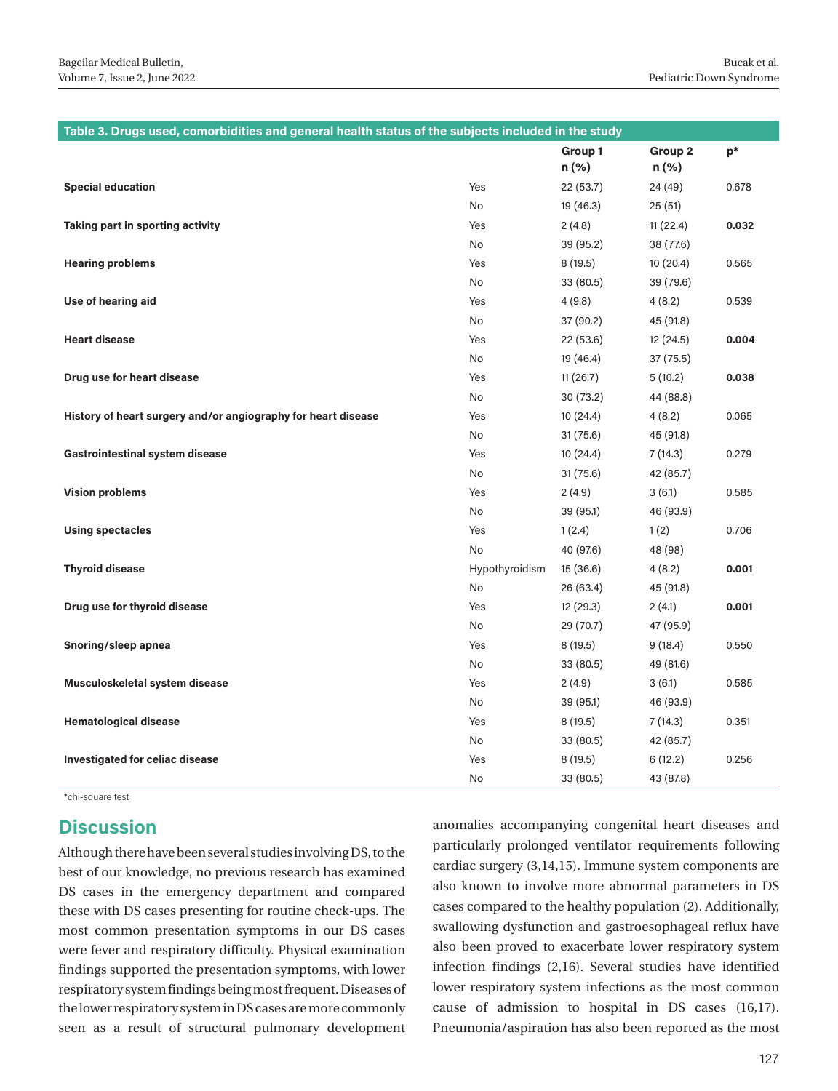| Table 3. Drugs used, comorbidities and general health status of the subjects included in the study |                |           |           |       |  |  |  |
|----------------------------------------------------------------------------------------------------|----------------|-----------|-----------|-------|--|--|--|
|                                                                                                    |                | Group 1   | Group 2   | $p*$  |  |  |  |
|                                                                                                    |                | n (%)     | n (%)     |       |  |  |  |
| <b>Special education</b>                                                                           | Yes            | 22 (53.7) | 24 (49)   | 0.678 |  |  |  |
|                                                                                                    | No             | 19 (46.3) | 25(51)    |       |  |  |  |
| Taking part in sporting activity                                                                   | Yes            | 2(4.8)    | 11(22.4)  | 0.032 |  |  |  |
|                                                                                                    | No             | 39 (95.2) | 38 (77.6) |       |  |  |  |
| <b>Hearing problems</b>                                                                            | Yes            | 8(19.5)   | 10(20.4)  | 0.565 |  |  |  |
|                                                                                                    | No             | 33 (80.5) | 39 (79.6) |       |  |  |  |
| Use of hearing aid                                                                                 | Yes            | 4(9.8)    | 4(8.2)    | 0.539 |  |  |  |
|                                                                                                    | No             | 37 (90.2) | 45 (91.8) |       |  |  |  |
| <b>Heart disease</b>                                                                               | Yes            | 22 (53.6) | 12 (24.5) | 0.004 |  |  |  |
|                                                                                                    | No             | 19 (46.4) | 37 (75.5) |       |  |  |  |
| Drug use for heart disease                                                                         | Yes            | 11(26.7)  | 5(10.2)   | 0.038 |  |  |  |
|                                                                                                    | No             | 30(73.2)  | 44 (88.8) |       |  |  |  |
| History of heart surgery and/or angiography for heart disease                                      | Yes            | 10 (24.4) | 4(8.2)    | 0.065 |  |  |  |
|                                                                                                    | No             | 31(75.6)  | 45 (91.8) |       |  |  |  |
| <b>Gastrointestinal system disease</b>                                                             | Yes            | 10(24.4)  | 7 (14.3)  | 0.279 |  |  |  |
|                                                                                                    | No             | 31(75.6)  | 42 (85.7) |       |  |  |  |
| <b>Vision problems</b>                                                                             | Yes            | 2(4.9)    | 3(6.1)    | 0.585 |  |  |  |
|                                                                                                    | No             | 39 (95.1) | 46 (93.9) |       |  |  |  |
| <b>Using spectacles</b>                                                                            | Yes            | 1(2.4)    | 1(2)      | 0.706 |  |  |  |
|                                                                                                    | No             | 40 (97.6) | 48 (98)   |       |  |  |  |
| <b>Thyroid disease</b>                                                                             | Hypothyroidism | 15 (36.6) | 4(8.2)    | 0.001 |  |  |  |
|                                                                                                    | No             | 26 (63.4) | 45 (91.8) |       |  |  |  |
| Drug use for thyroid disease                                                                       | Yes            | 12 (29.3) | 2(4.1)    | 0.001 |  |  |  |
|                                                                                                    | No             | 29 (70.7) | 47 (95.9) |       |  |  |  |
| Snoring/sleep apnea                                                                                | Yes            | 8(19.5)   | 9(18.4)   | 0.550 |  |  |  |
|                                                                                                    | No             | 33 (80.5) | 49 (81.6) |       |  |  |  |
| Musculoskeletal system disease                                                                     | Yes            | 2(4.9)    | 3(6.1)    | 0.585 |  |  |  |
|                                                                                                    | No             | 39 (95.1) | 46 (93.9) |       |  |  |  |
| <b>Hematological disease</b>                                                                       | Yes            | 8(19.5)   | 7 (14.3)  | 0.351 |  |  |  |
|                                                                                                    | No             | 33 (80.5) | 42 (85.7) |       |  |  |  |
| <b>Investigated for celiac disease</b>                                                             | Yes            | 8(19.5)   | 6(12.2)   | 0.256 |  |  |  |
|                                                                                                    | No             | 33 (80.5) | 43 (87.8) |       |  |  |  |

\*chi-square test

#### **Discussion**

Although there have been several studies involving DS, to the best of our knowledge, no previous research has examined DS cases in the emergency department and compared these with DS cases presenting for routine check-ups. The most common presentation symptoms in our DS cases were fever and respiratory difficulty. Physical examination findings supported the presentation symptoms, with lower respiratory system findings being most frequent. Diseases of the lower respiratory system in DS cases are more commonly seen as a result of structural pulmonary development

anomalies accompanying congenital heart diseases and particularly prolonged ventilator requirements following cardiac surgery (3,14,15). Immune system components are also known to involve more abnormal parameters in DS cases compared to the healthy population (2). Additionally, swallowing dysfunction and gastroesophageal reflux have also been proved to exacerbate lower respiratory system infection findings (2,16). Several studies have identified lower respiratory system infections as the most common cause of admission to hospital in DS cases (16,17). Pneumonia/aspiration has also been reported as the most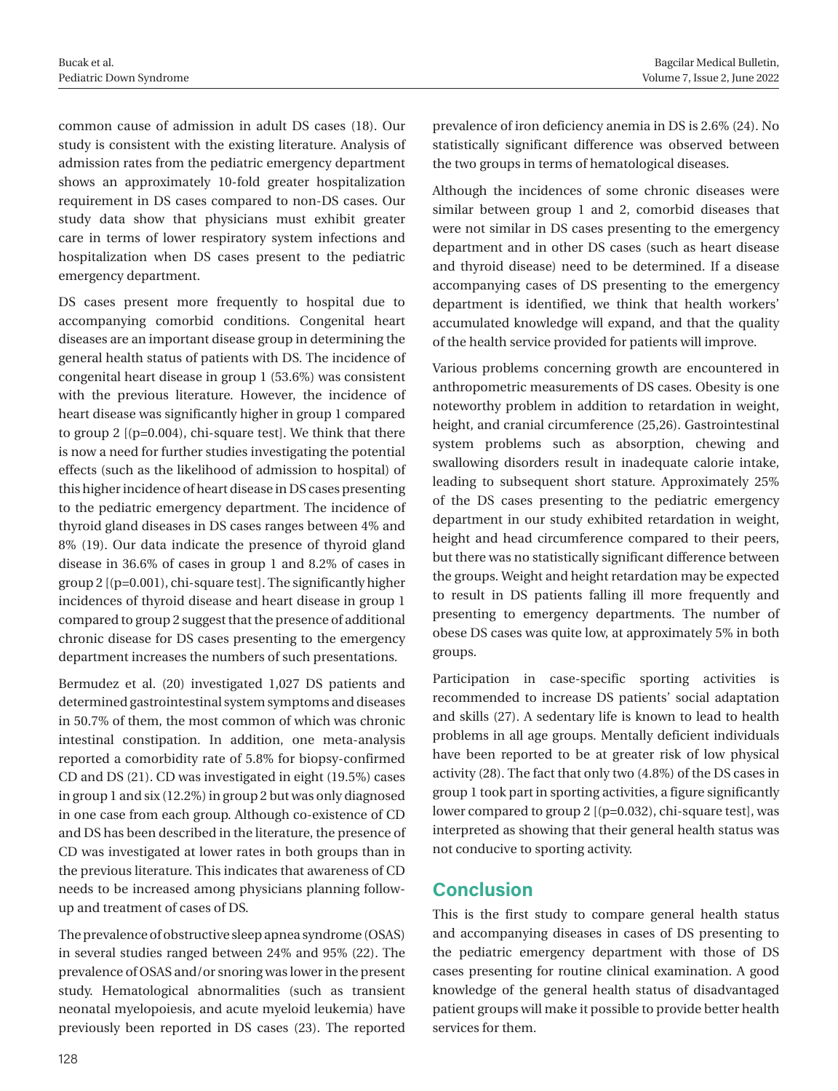common cause of admission in adult DS cases (18). Our study is consistent with the existing literature. Analysis of admission rates from the pediatric emergency department shows an approximately 10-fold greater hospitalization requirement in DS cases compared to non-DS cases. Our study data show that physicians must exhibit greater care in terms of lower respiratory system infections and hospitalization when DS cases present to the pediatric emergency department.

DS cases present more frequently to hospital due to accompanying comorbid conditions. Congenital heart diseases are an important disease group in determining the general health status of patients with DS. The incidence of congenital heart disease in group 1 (53.6%) was consistent with the previous literature. However, the incidence of heart disease was significantly higher in group 1 compared to group 2 [(p=0.004), chi-square test]. We think that there is now a need for further studies investigating the potential effects (such as the likelihood of admission to hospital) of this higher incidence of heart disease in DS cases presenting to the pediatric emergency department. The incidence of thyroid gland diseases in DS cases ranges between 4% and 8% (19). Our data indicate the presence of thyroid gland disease in 36.6% of cases in group 1 and 8.2% of cases in group 2 [(p=0.001), chi-square test]. The significantly higher incidences of thyroid disease and heart disease in group 1 compared to group 2 suggest that the presence of additional chronic disease for DS cases presenting to the emergency department increases the numbers of such presentations.

Bermudez et al. (20) investigated 1,027 DS patients and determined gastrointestinal system symptoms and diseases in 50.7% of them, the most common of which was chronic intestinal constipation. In addition, one meta-analysis reported a comorbidity rate of 5.8% for biopsy-confirmed CD and DS (21). CD was investigated in eight (19.5%) cases in group 1 and six (12.2%) in group 2 but was only diagnosed in one case from each group. Although co-existence of CD and DS has been described in the literature, the presence of CD was investigated at lower rates in both groups than in the previous literature. This indicates that awareness of CD needs to be increased among physicians planning followup and treatment of cases of DS.

The prevalence of obstructive sleep apnea syndrome (OSAS) in several studies ranged between 24% and 95% (22). The prevalence of OSAS and/or snoring was lower in the present study. Hematological abnormalities (such as transient neonatal myelopoiesis, and acute myeloid leukemia) have previously been reported in DS cases (23). The reported prevalence of iron deficiency anemia in DS is 2.6% (24). No statistically significant difference was observed between the two groups in terms of hematological diseases.

Although the incidences of some chronic diseases were similar between group 1 and 2, comorbid diseases that were not similar in DS cases presenting to the emergency department and in other DS cases (such as heart disease and thyroid disease) need to be determined. If a disease accompanying cases of DS presenting to the emergency department is identified, we think that health workers' accumulated knowledge will expand, and that the quality of the health service provided for patients will improve.

Various problems concerning growth are encountered in anthropometric measurements of DS cases. Obesity is one noteworthy problem in addition to retardation in weight, height, and cranial circumference (25,26). Gastrointestinal system problems such as absorption, chewing and swallowing disorders result in inadequate calorie intake, leading to subsequent short stature. Approximately 25% of the DS cases presenting to the pediatric emergency department in our study exhibited retardation in weight, height and head circumference compared to their peers, but there was no statistically significant difference between the groups. Weight and height retardation may be expected to result in DS patients falling ill more frequently and presenting to emergency departments. The number of obese DS cases was quite low, at approximately 5% in both groups.

Participation in case-specific sporting activities is recommended to increase DS patients' social adaptation and skills (27). A sedentary life is known to lead to health problems in all age groups. Mentally deficient individuals have been reported to be at greater risk of low physical activity (28). The fact that only two (4.8%) of the DS cases in group 1 took part in sporting activities, a figure significantly lower compared to group 2 [(p=0.032), chi-square test], was interpreted as showing that their general health status was not conducive to sporting activity.

# **Conclusion**

This is the first study to compare general health status and accompanying diseases in cases of DS presenting to the pediatric emergency department with those of DS cases presenting for routine clinical examination. A good knowledge of the general health status of disadvantaged patient groups will make it possible to provide better health services for them.